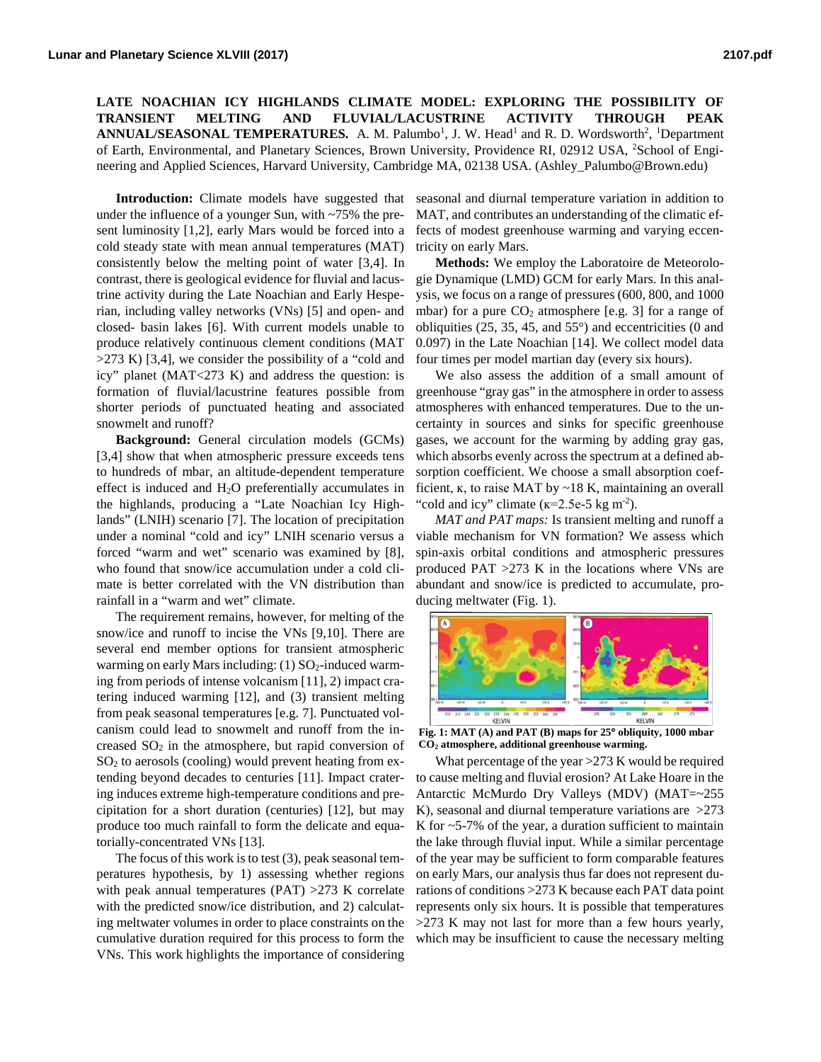**LATE NOACHIAN ICY HIGHLANDS CLIMATE MODEL: EXPLORING THE POSSIBILITY OF TRANSIENT MELTING AND FLUVIAL/LACUSTRINE ACTIVITY THROUGH PEAK**  ANNUAL/SEASONAL TEMPERATURES. A. M. Palumbo<sup>1</sup>, J. W. Head<sup>1</sup> and R. D. Wordsworth<sup>2</sup>, <sup>1</sup>Department of Earth, Environmental, and Planetary Sciences, Brown University, Providence RI, 02912 USA, <sup>2</sup>School of Engineering and Applied Sciences, Harvard University, Cambridge MA, 02138 USA. (Ashley\_Palumbo@Brown.edu)

**Introduction:** Climate models have suggested that under the influence of a younger Sun, with ~75% the present luminosity [1,2], early Mars would be forced into a cold steady state with mean annual temperatures (MAT) consistently below the melting point of water [3,4]. In contrast, there is geological evidence for fluvial and lacustrine activity during the Late Noachian and Early Hesperian, including valley networks (VNs) [5] and open- and closed- basin lakes [6]. With current models unable to produce relatively continuous clement conditions (MAT  $>273$  K) [3,4], we consider the possibility of a "cold and icy" planet (MAT<273 K) and address the question: is formation of fluvial/lacustrine features possible from shorter periods of punctuated heating and associated snowmelt and runoff?

**Background:** General circulation models (GCMs) [3,4] show that when atmospheric pressure exceeds tens to hundreds of mbar, an altitude-dependent temperature effect is induced and  $H_2O$  preferentially accumulates in the highlands, producing a "Late Noachian Icy Highlands" (LNIH) scenario [7]. The location of precipitation under a nominal "cold and icy" LNIH scenario versus a forced "warm and wet" scenario was examined by [8], who found that snow/ice accumulation under a cold climate is better correlated with the VN distribution than rainfall in a "warm and wet" climate.

The requirement remains, however, for melting of the snow/ice and runoff to incise the VNs [9,10]. There are several end member options for transient atmospheric warming on early Mars including:  $(1)$  SO<sub>2</sub>-induced warming from periods of intense volcanism [11], 2) impact cratering induced warming [12], and (3) transient melting from peak seasonal temperatures [e.g. 7]. Punctuated volcanism could lead to snowmelt and runoff from the increased  $SO<sub>2</sub>$  in the atmosphere, but rapid conversion of  $SO<sub>2</sub>$  to aerosols (cooling) would prevent heating from extending beyond decades to centuries [11]. Impact cratering induces extreme high-temperature conditions and precipitation for a short duration (centuries) [12], but may produce too much rainfall to form the delicate and equatorially-concentrated VNs [13].

The focus of this work is to test (3), peak seasonal temperatures hypothesis, by 1) assessing whether regions with peak annual temperatures (PAT) >273 K correlate with the predicted snow/ice distribution, and 2) calculating meltwater volumes in order to place constraints on the cumulative duration required for this process to form the VNs. This work highlights the importance of considering

seasonal and diurnal temperature variation in addition to MAT, and contributes an understanding of the climatic effects of modest greenhouse warming and varying eccentricity on early Mars.

**Methods:** We employ the Laboratoire de Meteorologie Dynamique (LMD) GCM for early Mars. In this analysis, we focus on a range of pressures (600, 800, and 1000 mbar) for a pure  $CO<sub>2</sub>$  atmosphere [e.g. 3] for a range of obliquities (25, 35, 45, and 55°) and eccentricities (0 and 0.097) in the Late Noachian [14]. We collect model data four times per model martian day (every six hours).

We also assess the addition of a small amount of greenhouse "gray gas" in the atmosphere in order to assess atmospheres with enhanced temperatures. Due to the uncertainty in sources and sinks for specific greenhouse gases, we account for the warming by adding gray gas, which absorbs evenly across the spectrum at a defined absorption coefficient. We choose a small absorption coefficient,  $\kappa$ , to raise MAT by  $\sim$ 18 K, maintaining an overall "cold and icy" climate  $(k=2.5e-5 kg m<sup>-2</sup>)$ .

*MAT and PAT maps:* Is transient melting and runoff a viable mechanism for VN formation? We assess which spin-axis orbital conditions and atmospheric pressures produced PAT >273 K in the locations where VNs are abundant and snow/ice is predicted to accumulate, producing meltwater (Fig. 1).



**Fig. 1: MAT (A) and PAT (B) maps for 25**° **obliquity, 1000 mbar CO2 atmosphere, additional greenhouse warming.**

What percentage of the year >273 K would be required to cause melting and fluvial erosion? At Lake Hoare in the Antarctic McMurdo Dry Valleys (MDV) (MAT=~255 K), seasonal and diurnal temperature variations are >273 K for  $\sim$  5-7% of the year, a duration sufficient to maintain the lake through fluvial input. While a similar percentage of the year may be sufficient to form comparable features on early Mars, our analysis thus far does not represent durations of conditions >273 K because each PAT data point represents only six hours. It is possible that temperatures >273 K may not last for more than a few hours yearly, which may be insufficient to cause the necessary melting